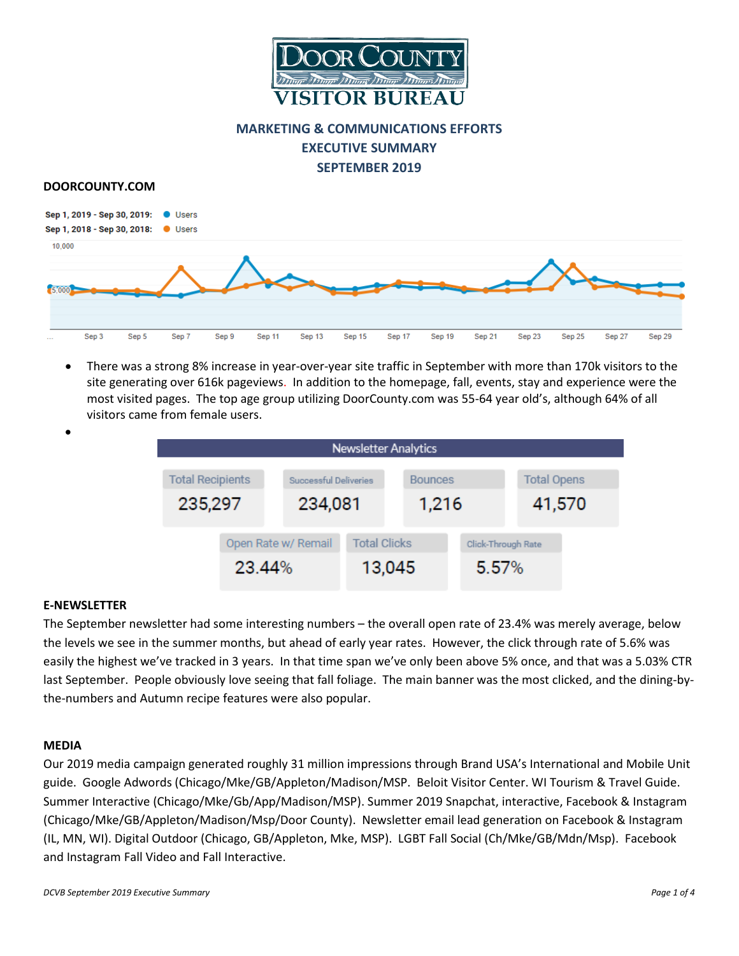

# **MARKETING & COMMUNICATIONS EFFORTS EXECUTIVE SUMMARY SEPTEMBER 2019**

#### **DOORCOUNTY.COM**



• There was a strong 8% increase in year-over-year site traffic in September with more than 170k visitors to the site generating over 616k pageviews. In addition to the homepage, fall, events, stay and experience were the most visited pages. The top age group utilizing DoorCounty.com was 55-64 year old's, although 64% of all visitors came from female users.

•

| <b>Newsletter Analytics</b> |                     |                       |                     |                |                    |  |                    |  |
|-----------------------------|---------------------|-----------------------|---------------------|----------------|--------------------|--|--------------------|--|
|                             |                     |                       |                     |                |                    |  |                    |  |
| <b>Total Recipients</b>     |                     | Successful Deliveries |                     | <b>Bounces</b> |                    |  | <b>Total Opens</b> |  |
| 235,297                     |                     | 234,081               |                     |                | 1,216              |  | 41,570             |  |
|                             | Open Rate w/ Remail |                       | <b>Total Clicks</b> |                | Click-Through Rate |  |                    |  |
| 23.44%                      |                     | 13,045                |                     |                | 5.57%              |  |                    |  |

## **E-NEWSLETTER**

The September newsletter had some interesting numbers – the overall open rate of 23.4% was merely average, below the levels we see in the summer months, but ahead of early year rates. However, the click through rate of 5.6% was easily the highest we've tracked in 3 years. In that time span we've only been above 5% once, and that was a 5.03% CTR last September. People obviously love seeing that fall foliage. The main banner was the most clicked, and the dining-bythe-numbers and Autumn recipe features were also popular.

#### **MEDIA**

Our 2019 media campaign generated roughly 31 million impressions through Brand USA's International and Mobile Unit guide. Google Adwords (Chicago/Mke/GB/Appleton/Madison/MSP. Beloit Visitor Center. WI Tourism & Travel Guide. Summer Interactive (Chicago/Mke/Gb/App/Madison/MSP). Summer 2019 Snapchat, interactive, Facebook & Instagram (Chicago/Mke/GB/Appleton/Madison/Msp/Door County). Newsletter email lead generation on Facebook & Instagram (IL, MN, WI). Digital Outdoor (Chicago, GB/Appleton, Mke, MSP). LGBT Fall Social (Ch/Mke/GB/Mdn/Msp). Facebook and Instagram Fall Video and Fall Interactive.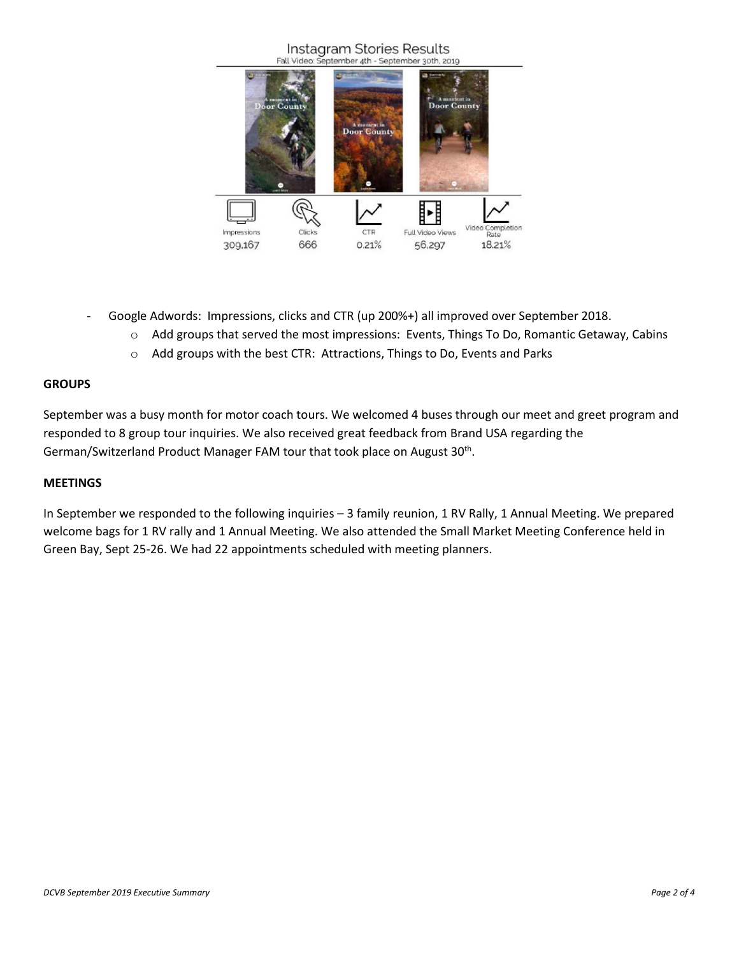# Instagram Stories Results



- Google Adwords: Impressions, clicks and CTR (up 200%+) all improved over September 2018.
	- o Add groups that served the most impressions: Events, Things To Do, Romantic Getaway, Cabins
	- $\circ$  Add groups with the best CTR: Attractions, Things to Do, Events and Parks

#### **GROUPS**

September was a busy month for motor coach tours. We welcomed 4 buses through our meet and greet program and responded to 8 group tour inquiries. We also received great feedback from Brand USA regarding the German/Switzerland Product Manager FAM tour that took place on August 30<sup>th</sup>.

#### **MEETINGS**

In September we responded to the following inquiries – 3 family reunion, 1 RV Rally, 1 Annual Meeting. We prepared welcome bags for 1 RV rally and 1 Annual Meeting. We also attended the Small Market Meeting Conference held in Green Bay, Sept 25-26. We had 22 appointments scheduled with meeting planners.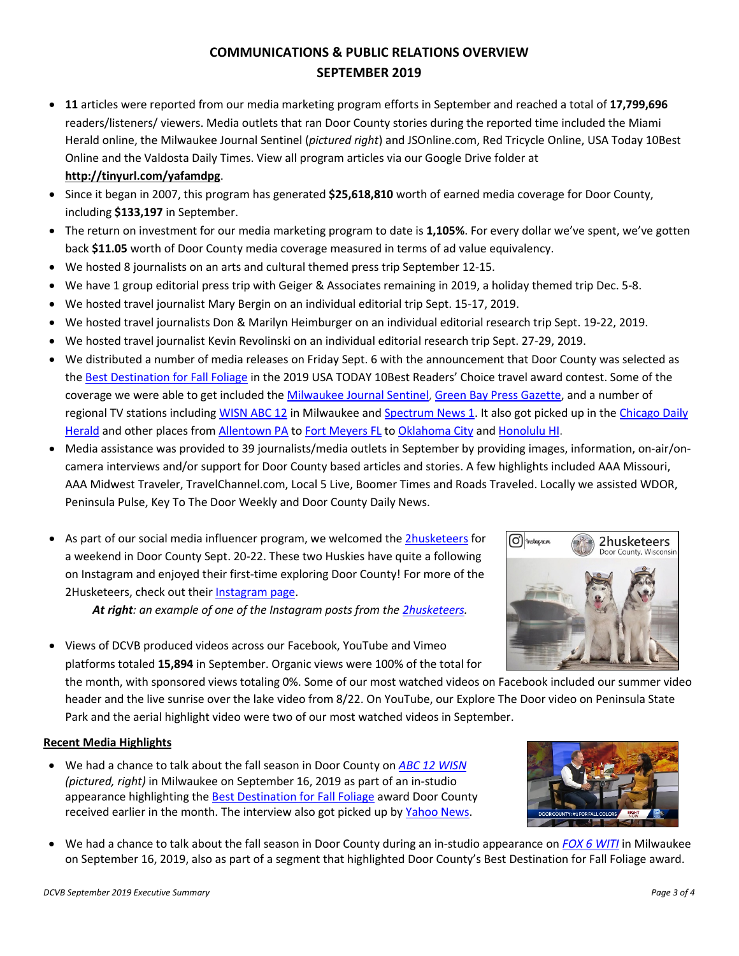## **COMMUNICATIONS & PUBLIC RELATIONS OVERVIEW SEPTEMBER 2019**

- **11** articles were reported from our media marketing program efforts in September and reached a total of **17,799,696** readers/listeners/ viewers. Media outlets that ran Door County stories during the reported time included the Miami Herald online, the Milwaukee Journal Sentinel (*pictured right*) and JSOnline.com, Red Tricycle Online, USA Today 10Best Online and the Valdosta Daily Times. View all program articles via our Google Drive folder at **<http://tinyurl.com/yafamdpg>**.
- Since it began in 2007, this program has generated **\$25,618,810** worth of earned media coverage for Door County, including **\$133,197** in September.
- The return on investment for our media marketing program to date is **1,105%**. For every dollar we've spent, we've gotten back **\$11.05** worth of Door County media coverage measured in terms of ad value equivalency.
- We hosted 8 journalists on an arts and cultural themed press trip September 12-15.
- We have 1 group editorial press trip with Geiger & Associates remaining in 2019, a holiday themed trip Dec. 5-8.
- We hosted travel journalist Mary Bergin on an individual editorial trip Sept. 15-17, 2019.
- We hosted travel journalists Don & Marilyn Heimburger on an individual editorial research trip Sept. 19-22, 2019.
- We hosted travel journalist Kevin Revolinski on an individual editorial research trip Sept. 27-29, 2019.
- We distributed a number of media releases on Friday Sept. 6 with the announcement that Door County was selected as th[e Best Destination for Fall Foliage](https://www.10best.com/awards/travel/best-destination-for-fall-foliage-2019/) in the 2019 USA TODAY 10Best Readers' Choice travel award contest. Some of the coverage we were able to get included the [Milwaukee Journal Sentinel,](https://www.jsonline.com/story/news/local/door-co/2019/09/06/door-countys-fall-foliage-declared-best-travel-contest/2233504001/) [Green Bay Press Gazette,](https://www.greenbaypressgazette.com/story/news/local/door-co/2019/09/06/door-countys-fall-foliage-declared-best-travel-contest/2233504001/) and a number of regional TV stations includin[g WISN ABC 12](http://archive.tveyes.com/18120/3454902-46970/92065347-d91a-4934-9d78-014b2b0ef7f6/WISN_09-06-2019_22.15.12.mp4) in Milwaukee an[d Spectrum News 1.](https://spectrumnews1.com/wi/milwaukee/news/2019/09/07/door-county-named-top-spot-to-view-fall-foliage) It also got picked up in th[e Chicago Daily](http://finance.dailyherald.com/dailyherald/news/read/38809170/Door_County)  [Herald](http://finance.dailyherald.com/dailyherald/news/read/38809170/Door_County) and other places from [Allentown PA](https://www.wfmz.com/prnewswire?filter=2518&rkey=20190906UN63641) t[o Fort Meyers FL](https://www.nbc-2.com/story/41014428/door-county-wisconsin-named-best-fall-foliage-destination-in-nationwide-competition) to [Oklahoma City](https://www.news9.com/story/41014428/door-county-wisconsin-named-best-fall-foliage-destination-in-nationwide-competition) and [Honolulu HI.](https://www.kitv.com/story/41014428/door-county-wisconsin-named-best-fall-foliage-destination-in-nationwide-competition)
- Media assistance was provided to 39 journalists/media outlets in September by providing images, information, on-air/oncamera interviews and/or support for Door County based articles and stories. A few highlights included AAA Missouri, AAA Midwest Traveler, TravelChannel.com, Local 5 Live, Boomer Times and Roads Traveled. Locally we assisted WDOR, Peninsula Pulse, Key To The Door Weekly and Door County Daily News.
- As part of our social media influencer program, we welcomed th[e 2husketeers](https://www.instagram.com/2husketeers/) for a weekend in Door County Sept. 20-22. These two Huskies have quite a following on Instagram and enjoyed their first-time exploring Door County! For more of the 2Husketeers, check out thei[r Instagram page.](https://www.instagram.com/2husketeers/)

 *At right: an example of one of the Instagram posts from the [2husketeers.](https://www.instagram.com/2husketeers/)*



the month, with sponsored views totaling 0%. Some of our most watched videos on Facebook included our summer video header and the live sunrise over the lake video from 8/22. On YouTube, our Explore The Door video on Peninsula State Park and the aerial highlight video were two of our most watched videos in September.

## **Recent Media Highlights**

• We had a chance to talk about the fall season in Door County on *[ABC 12 WISN](https://www.wisn.com/article/door-county-number-1-destination-for-fall-colors/29073861) (pictured, right)* in Milwaukee on September 16, 2019 as part of an in-studio appearance highlighting th[e Best Destination for Fall Foliage](https://www.prweb.com/releases/door_county_wisconsin_named_best_fall_foliage_destination_in_nationwide_competition/prweb16554947.htm) award Door County received earlier in the month. The interview also got picked up by [Yahoo News.](https://news.yahoo.com/door-county-voted-no-1-174523668.html)



• We had a chance to talk about the fall season in Door County during an in-studio appearance on *[FOX 6 WITI](https://fox6now.com/2019/09/16/300-miles-of-shoreline-check-out-the-fall-colors-in-door-county/)* in Milwaukee on September 16, 2019, also as part of a segment that highlighted Door County's Best Destination for Fall Foliage award.